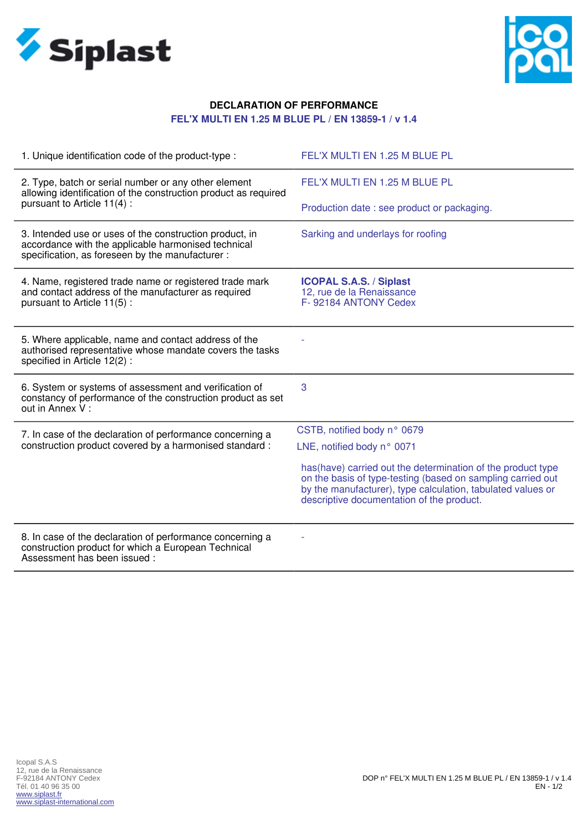



## **DECLARATION OF PERFORMANCE FEL'X MULTI EN 1.25 M BLUE PL / EN 13859-1 / v 1.4**

| 1. Unique identification code of the product-type :                                                                                                                | FEL'X MULTI EN 1.25 M BLUE PL                                                                                                                                                                                                           |
|--------------------------------------------------------------------------------------------------------------------------------------------------------------------|-----------------------------------------------------------------------------------------------------------------------------------------------------------------------------------------------------------------------------------------|
| 2. Type, batch or serial number or any other element<br>allowing identification of the construction product as required                                            | FEL'X MULTI EN 1.25 M BLUE PL                                                                                                                                                                                                           |
| pursuant to Article 11(4):                                                                                                                                         | Production date : see product or packaging.                                                                                                                                                                                             |
| 3. Intended use or uses of the construction product, in<br>accordance with the applicable harmonised technical<br>specification, as foreseen by the manufacturer : | Sarking and underlays for roofing                                                                                                                                                                                                       |
| 4. Name, registered trade name or registered trade mark<br>and contact address of the manufacturer as required<br>pursuant to Article 11(5):                       | <b>ICOPAL S.A.S. / Siplast</b><br>12, rue de la Renaissance<br>F-92184 ANTONY Cedex                                                                                                                                                     |
| 5. Where applicable, name and contact address of the<br>authorised representative whose mandate covers the tasks<br>specified in Article 12(2):                    |                                                                                                                                                                                                                                         |
| 6. System or systems of assessment and verification of<br>constancy of performance of the construction product as set<br>out in Annex V:                           | 3                                                                                                                                                                                                                                       |
| 7. In case of the declaration of performance concerning a<br>construction product covered by a harmonised standard :                                               | CSTB, notified body n° 0679                                                                                                                                                                                                             |
|                                                                                                                                                                    | LNE, notified body n° 0071                                                                                                                                                                                                              |
|                                                                                                                                                                    | has (have) carried out the determination of the product type<br>on the basis of type-testing (based on sampling carried out<br>by the manufacturer), type calculation, tabulated values or<br>descriptive documentation of the product. |
| 8. In case of the declaration of performance concerning a<br>construction product for which a European Technical<br>Assessment has been issued:                    |                                                                                                                                                                                                                                         |